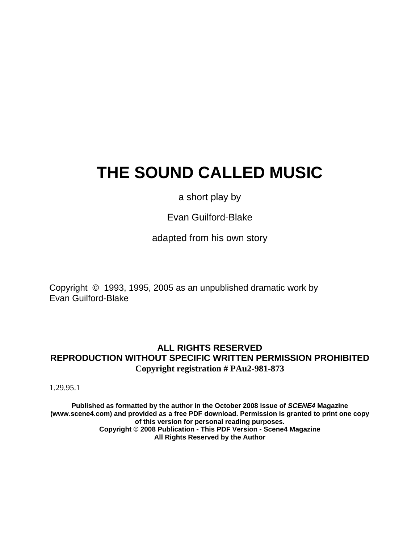# **THE SOUND CALLED MUSIC**

a short play by

Evan Guilford-Blake

adapted from his own story

Copyright © 1993, 1995, 2005 as an unpublished dramatic work by Evan Guilford-Blake

## **ALL RIGHTS RESERVED REPRODUCTION WITHOUT SPECIFIC WRITTEN PERMISSION PROHIBITED Copyright registration # PAu2-981-873**

1.29.95.1

**Published as formatted by the author in the October 2008 issue of** *SCENE4* **Magazine (www.scene4.com) and provided as a free PDF download. Permission is granted to print one copy of this version for personal reading purposes. Copyright © 2008 Publication - This PDF Version - Scene4 Magazine All Rights Reserved by the Author**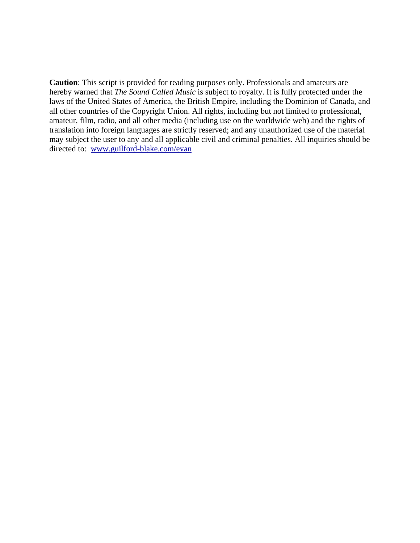**Caution**: This script is provided for reading purposes only. Professionals and amateurs are hereby warned that *The Sound Called Music* is subject to royalty. It is fully protected under the laws of the United States of America, the British Empire, including the Dominion of Canada, and all other countries of the Copyright Union. All rights, including but not limited to professional, amateur, film, radio, and all other media (including use on the worldwide web) and the rights of translation into foreign languages are strictly reserved; and any unauthorized use of the material may subject the user to any and all applicable civil and criminal penalties. All inquiries should be directed to: [www.guilford-blake.com/evan](http://www.guilford-blake.com/evan)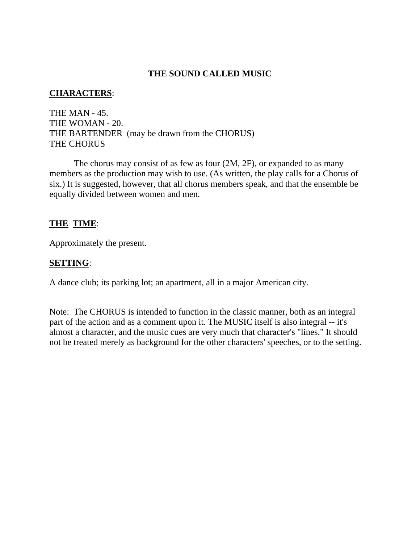## **THE SOUND CALLED MUSIC**

## **CHARACTERS**:

THE MAN - 45. THE WOMAN - 20. THE BARTENDER (may be drawn from the CHORUS) THE CHORUS

 The chorus may consist of as few as four (2M, 2F), or expanded to as many members as the production may wish to use. (As written, the play calls for a Chorus of six.) It is suggested, however, that all chorus members speak, and that the ensemble be equally divided between women and men.

## **THE TIME**:

Approximately the present.

## **SETTING**:

A dance club; its parking lot; an apartment, all in a major American city.

Note: The CHORUS is intended to function in the classic manner, both as an integral part of the action and as a comment upon it. The MUSIC itself is also integral -- it's almost a character, and the music cues are very much that character's "lines." It should not be treated merely as background for the other characters' speeches, or to the setting.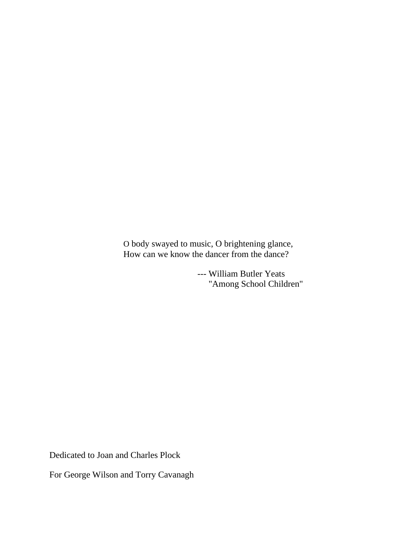O body swayed to music, O brightening glance, How can we know the dancer from the dance?

> --- William Butler Yeats "Among School Children"

Dedicated to Joan and Charles Plock

For George Wilson and Torry Cavanagh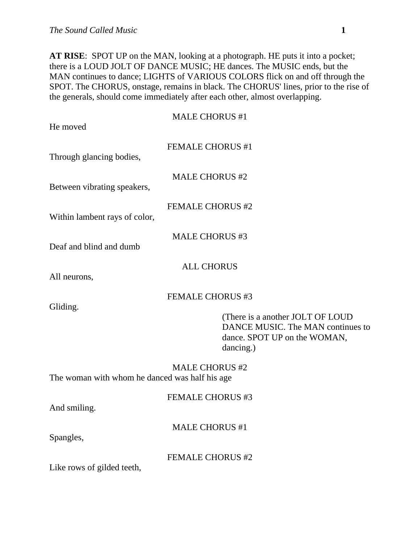**AT RISE**: SPOT UP on the MAN, looking at a photograph. HE puts it into a pocket; there is a LOUD JOLT OF DANCE MUSIC; HE dances. The MUSIC ends, but the MAN continues to dance; LIGHTS of VARIOUS COLORS flick on and off through the SPOT. The CHORUS, onstage, remains in black. The CHORUS' lines, prior to the rise of the generals, should come immediately after each other, almost overlapping.

| He moved                                       | <b>MALE CHORUS #1</b>                                                                                              |
|------------------------------------------------|--------------------------------------------------------------------------------------------------------------------|
| Through glancing bodies,                       | <b>FEMALE CHORUS #1</b>                                                                                            |
| Between vibrating speakers,                    | <b>MALE CHORUS #2</b>                                                                                              |
| Within lambent rays of color,                  | <b>FEMALE CHORUS #2</b>                                                                                            |
| Deaf and blind and dumb                        | <b>MALE CHORUS #3</b>                                                                                              |
| All neurons,                                   | <b>ALL CHORUS</b>                                                                                                  |
| Gliding.                                       | <b>FEMALE CHORUS #3</b>                                                                                            |
|                                                | (There is a another JOLT OF LOUD<br>DANCE MUSIC. The MAN continues to<br>dance. SPOT UP on the WOMAN,<br>dancing.) |
| The woman with whom he danced was half his age | <b>MALE CHORUS #2</b>                                                                                              |
| And smiling.                                   | <b>FEMALE CHORUS #3</b>                                                                                            |
| Spangles,                                      | <b>MALE CHORUS #1</b>                                                                                              |
| Like rows of gilded teeth,                     | <b>FEMALE CHORUS #2</b>                                                                                            |
|                                                |                                                                                                                    |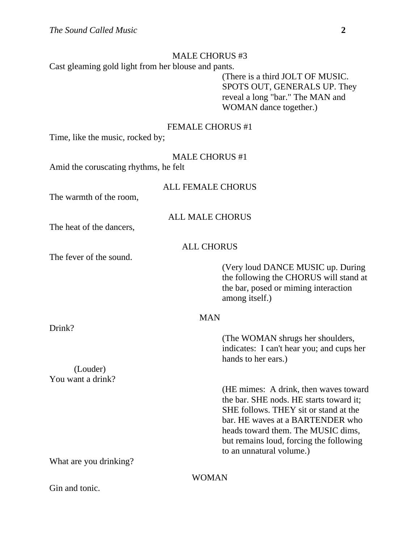## MALE CHORUS #3

Cast gleaming gold light from her blouse and pants.

 (There is a third JOLT OF MUSIC. SPOTS OUT, GENERALS UP. They reveal a long "bar." The MAN and WOMAN dance together.)

## FEMALE CHORUS #1

Time, like the music, rocked by;

## MALE CHORUS #1

Amid the coruscating rhythms, he felt

## ALL FEMALE CHORUS

The warmth of the room,

## ALL MALE CHORUS

The heat of the dancers,

## ALL CHORUS

The fever of the sound.

Drink?

 (Very loud DANCE MUSIC up. During the following the CHORUS will stand at the bar, posed or miming interaction among itself.)

## MAN

 (The WOMAN shrugs her shoulders, indicates: I can't hear you; and cups her hands to her ears.) (Louder) You want a drink? (HE mimes: A drink, then waves toward the bar. SHE nods. HE starts toward it; SHE follows. THEY sit or stand at the bar. HE waves at a BARTENDER who heads toward them. The MUSIC dims, but remains loud, forcing the following to an unnatural volume.) What are you drinking?

## WOMAN

Gin and tonic.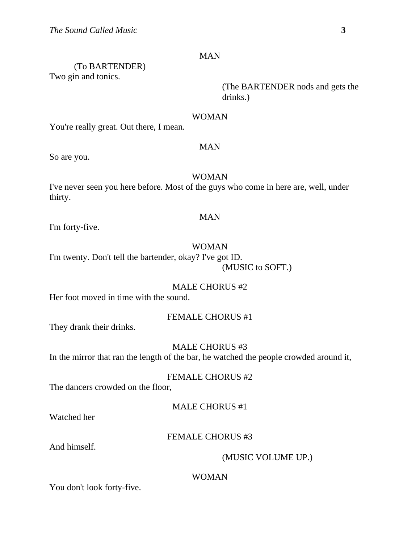## MAN

 (To BARTENDER) Two gin and tonics.

> (The BARTENDER nods and gets the drinks.)

#### WOMAN

You're really great. Out there, I mean.

## MAN

So are you.

## WOMAN

I've never seen you here before. Most of the guys who come in here are, well, under thirty.

## MAN

I'm forty-five.

#### WOMAN

I'm twenty. Don't tell the bartender, okay? I've got ID. (MUSIC to SOFT.)

## MALE CHORUS #2

Her foot moved in time with the sound.

## FEMALE CHORUS #1

They drank their drinks.

MALE CHORUS #3

In the mirror that ran the length of the bar, he watched the people crowded around it,

## FEMALE CHORUS #2

The dancers crowded on the floor,

## MALE CHORUS #1

Watched her

## FEMALE CHORUS #3

And himself.

## (MUSIC VOLUME UP.)

## WOMAN

You don't look forty-five.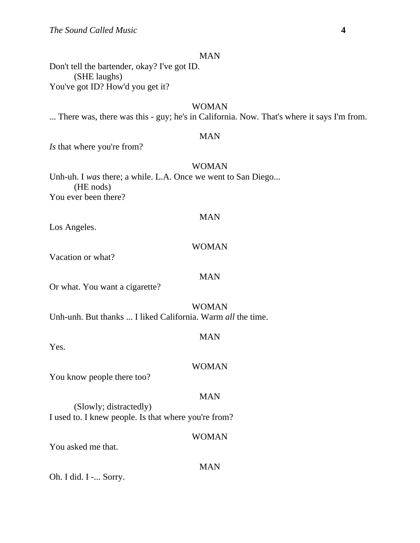## MAN

Don't tell the bartender, okay? I've got ID. (SHE laughs) You've got ID? How'd you get it?

## WOMAN

... There was, there was this - guy; he's in California. Now. That's where it says I'm from.

## MAN

*Is* that where you're from?

## WOMAN

Unh-uh. I *was* there; a while. L.A. Once we went to San Diego... (HE nods) You ever been there?

## MAN

Los Angeles.

#### WOMAN

Vacation or what?

## MAN

Or what. You want a cigarette?

## WOMAN

Unh-unh. But thanks ... I liked California. Warm *all* the time.

## MAN

Yes.

#### WOMAN

You know people there too?

## MAN

 (Slowly; distractedly) I used to. I knew people. Is that where you're from?

#### WOMAN

You asked me that.

# MAN

Oh. I did. I -... Sorry.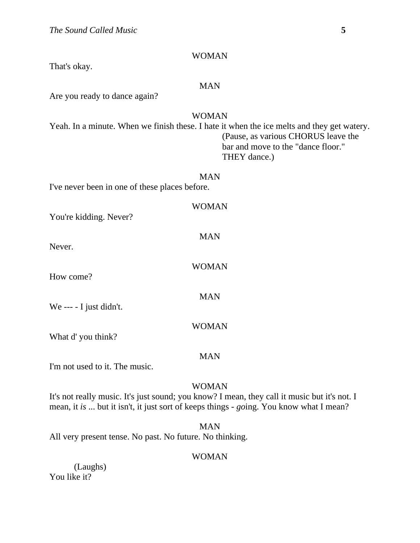#### WOMAN

That's okay.

## MAN

Are you ready to dance again?

## WOMAN

Yeah. In a minute. When we finish these. I hate it when the ice melts and they get watery. (Pause, as various CHORUS leave the bar and move to the "dance floor." THEY dance.)

#### MAN

I've never been in one of these places before.

| You're kidding. Never?         | WOMAN        |
|--------------------------------|--------------|
| Never.                         | <b>MAN</b>   |
| How come?                      | <b>WOMAN</b> |
| We --- - I just didn't.        | <b>MAN</b>   |
| What d'you think?              | WOMAN        |
| I'm not used to it. The music. | MAN          |

## WOMAN

It's not really music. It's just sound; you know? I mean, they call it music but it's not. I mean, it *is* ... but it isn't, it just sort of keeps things - *go*ing. You know what I mean?

## MAN

All very present tense. No past. No future. No thinking.

## WOMAN

 (Laughs) You like it?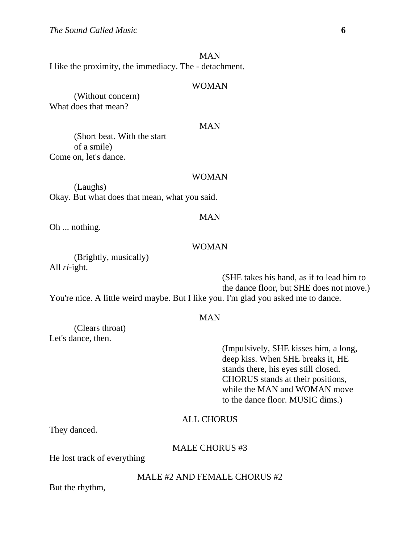MAN I like the proximity, the immediacy. The - detachment.

#### WOMAN

 (Without concern) What does that mean?

#### MAN

 (Short beat. With the start of a smile) Come on, let's dance.

#### WOMAN

 (Laughs) Okay. But what does that mean, what you said.

# MAN

Oh ... nothing.

## WOMAN

 (Brightly, musically) All *ri*-ight.

 (SHE takes his hand, as if to lead him to the dance floor, but SHE does not move.) You're nice. A little weird maybe. But I like you. I'm glad you asked me to dance.

## MAN

 (Clears throat) Let's dance, then.

> (Impulsively, SHE kisses him, a long, deep kiss. When SHE breaks it, HE stands there, his eyes still closed. CHORUS stands at their positions, while the MAN and WOMAN move to the dance floor. MUSIC dims.)

## ALL CHORUS

They danced.

#### MALE CHORUS #3

He lost track of everything

#### MALE #2 AND FEMALE CHORUS #2

But the rhythm,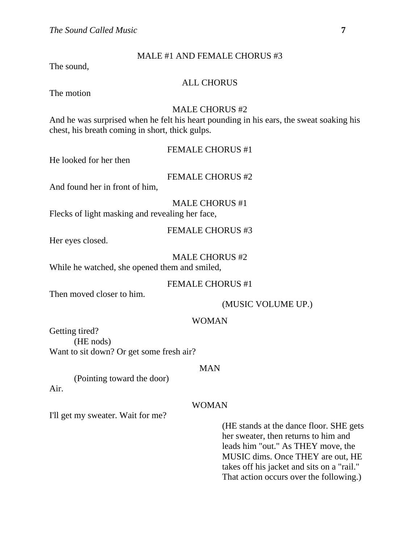## MALE #1 AND FEMALE CHORUS #3

The sound,

## ALL CHORUS

The motion

## MALE CHORUS #2

And he was surprised when he felt his heart pounding in his ears, the sweat soaking his chest, his breath coming in short, thick gulps.

| <b>FEMALE CHORUS #1</b> |  |  |
|-------------------------|--|--|
|-------------------------|--|--|

He looked for her then

## FEMALE CHORUS #2

And found her in front of him,

MALE CHORUS #1

Flecks of light masking and revealing her face,

FEMALE CHORUS #3

Her eyes closed.

#### MALE CHORUS #2

While he watched, she opened them and smiled,

## FEMALE CHORUS #1

Then moved closer to him.

(MUSIC VOLUME UP.)

## WOMAN

Getting tired? (HE nods) Want to sit down? Or get some fresh air?

#### MAN

 (Pointing toward the door) Air.

## WOMAN

I'll get my sweater. Wait for me?

 (HE stands at the dance floor. SHE gets her sweater, then returns to him and leads him "out." As THEY move, the MUSIC dims. Once THEY are out, HE takes off his jacket and sits on a "rail." That action occurs over the following.)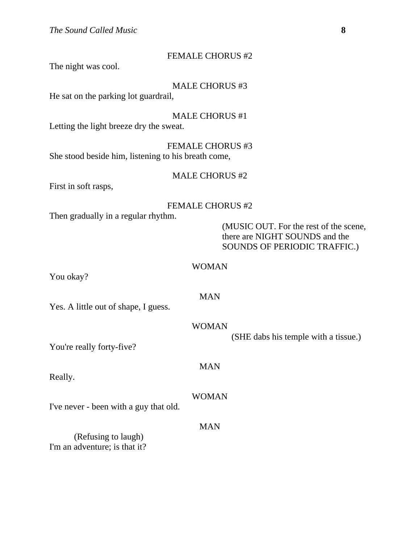#### FEMALE CHORUS #2

The night was cool.

MALE CHORUS #3

He sat on the parking lot guardrail,

MALE CHORUS #1

Letting the light breeze dry the sweat.

FEMALE CHORUS #3 She stood beside him, listening to his breath come,

#### MALE CHORUS #2

First in soft rasps,

## FEMALE CHORUS #2

Then gradually in a regular rhythm.

 (MUSIC OUT. For the rest of the scene, there are NIGHT SOUNDS and the SOUNDS OF PERIODIC TRAFFIC.)

#### WOMAN

You okay?

## MAN

Yes. A little out of shape, I guess.

#### WOMAN

(SHE dabs his temple with a tissue.)

You're really forty-five?

Really.

WOMAN

MAN

I've never - been with a guy that old.

## MAN

 (Refusing to laugh) I'm an adventure; is that it?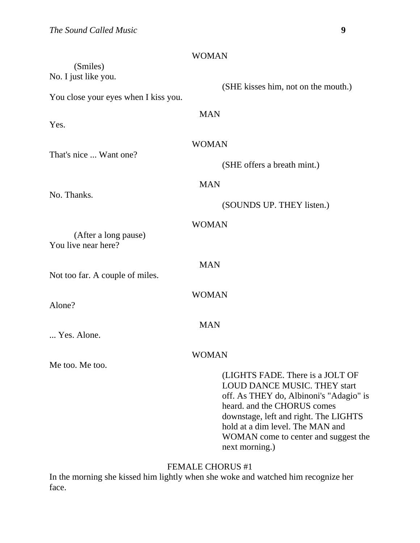|                                             | <b>WOMAN</b>                                                                                                                                                                                                                                                                             |  |
|---------------------------------------------|------------------------------------------------------------------------------------------------------------------------------------------------------------------------------------------------------------------------------------------------------------------------------------------|--|
| (Smiles)<br>No. I just like you.            |                                                                                                                                                                                                                                                                                          |  |
| You close your eyes when I kiss you.        | (SHE kisses him, not on the mouth.)                                                                                                                                                                                                                                                      |  |
| Yes.                                        | <b>MAN</b>                                                                                                                                                                                                                                                                               |  |
| That's nice  Want one?                      | <b>WOMAN</b>                                                                                                                                                                                                                                                                             |  |
|                                             | (SHE offers a breath mint.)                                                                                                                                                                                                                                                              |  |
| No. Thanks.                                 | <b>MAN</b>                                                                                                                                                                                                                                                                               |  |
|                                             | (SOUNDS UP. THEY listen.)                                                                                                                                                                                                                                                                |  |
| (After a long pause)<br>You live near here? | <b>WOMAN</b>                                                                                                                                                                                                                                                                             |  |
| Not too far. A couple of miles.             | <b>MAN</b>                                                                                                                                                                                                                                                                               |  |
| Alone?                                      | <b>WOMAN</b>                                                                                                                                                                                                                                                                             |  |
| Yes. Alone.                                 | <b>MAN</b>                                                                                                                                                                                                                                                                               |  |
| Me too. Me too.                             | WOMAN                                                                                                                                                                                                                                                                                    |  |
|                                             | (LIGHTS FADE. There is a JOLT OF<br><b>LOUD DANCE MUSIC. THEY start</b><br>off. As THEY do, Albinoni's "Adagio" is<br>heard. and the CHORUS comes<br>downstage, left and right. The LIGHTS<br>hold at a dim level. The MAN and<br>WOMAN come to center and suggest the<br>next morning.) |  |

# FEMALE CHORUS #1

In the morning she kissed him lightly when she woke and watched him recognize her face.